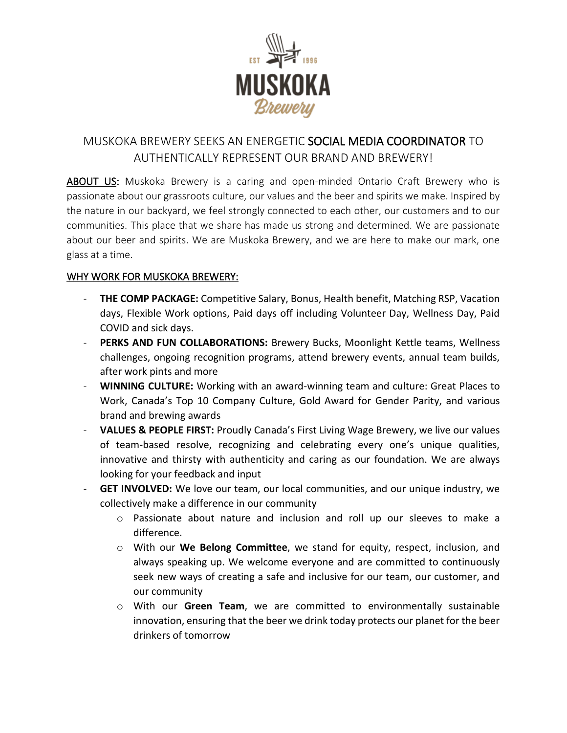

# MUSKOKA BREWERY SEEKS AN ENERGETIC SOCIAL MEDIA COORDINATOR TO AUTHENTICALLY REPRESENT OUR BRAND AND BREWERY!

ABOUT US: Muskoka Brewery is a caring and open-minded Ontario Craft Brewery who is passionate about our grassroots culture, our values and the beer and spirits we make. Inspired by the nature in our backyard, we feel strongly connected to each other, our customers and to our communities. This place that we share has made us strong and determined. We are passionate about our beer and spirits. We are Muskoka Brewery, and we are here to make our mark, one glass at a time.

# WHY WORK FOR MUSKOKA BREWERY:

- THE COMP PACKAGE: Competitive Salary, Bonus, Health benefit, Matching RSP, Vacation days, Flexible Work options, Paid days off including Volunteer Day, Wellness Day, Paid COVID and sick days.
- **PERKS AND FUN COLLABORATIONS:** Brewery Bucks, Moonlight Kettle teams, Wellness challenges, ongoing recognition programs, attend brewery events, annual team builds, after work pints and more
- **WINNING CULTURE:** Working with an award-winning team and culture: Great Places to Work, Canada's Top 10 Company Culture, Gold Award for Gender Parity, and various brand and brewing awards
- **VALUES & PEOPLE FIRST:** Proudly Canada's First Living Wage Brewery, we live our values of team-based resolve, recognizing and celebrating every one's unique qualities, innovative and thirsty with authenticity and caring as our foundation. We are always looking for your feedback and input
- GET INVOLVED: We love our team, our local communities, and our unique industry, we collectively make a difference in our community
	- o Passionate about nature and inclusion and roll up our sleeves to make a difference.
	- o With our **We Belong Committee**, we stand for equity, respect, inclusion, and always speaking up. We welcome everyone and are committed to continuously seek new ways of creating a safe and inclusive for our team, our customer, and our community
	- o With our **Green Team**, we are committed to environmentally sustainable innovation, ensuring that the beer we drink today protects our planet for the beer drinkers of tomorrow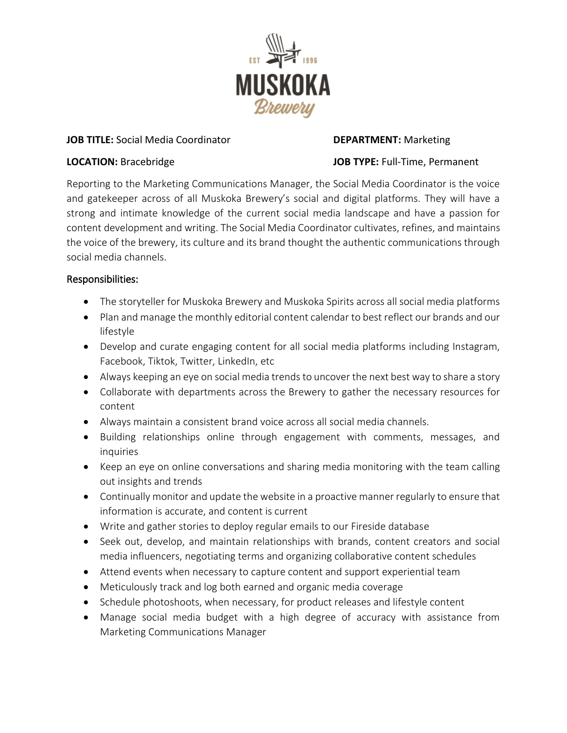

### **JOB TITLE:** Social Media Coordinator **DEPARTMENT:** Marketing

## **LOCATION:** Bracebridge **JOB TYPE:** Full-Time, Permanent

Reporting to the Marketing Communications Manager, the Social Media Coordinator is the voice and gatekeeper across of all Muskoka Brewery's social and digital platforms. They will have a strong and intimate knowledge of the current social media landscape and have a passion for content development and writing. The Social Media Coordinator cultivates, refines, and maintains the voice of the brewery, its culture and its brand thought the authentic communications through social media channels.

# Responsibilities:

- The storyteller for Muskoka Brewery and Muskoka Spirits across all social media platforms
- Plan and manage the monthly editorial content calendar to best reflect our brands and our lifestyle
- Develop and curate engaging content for all social media platforms including Instagram, Facebook, Tiktok, Twitter, LinkedIn, etc
- Always keeping an eye on social media trends to uncover the next best way to share a story
- Collaborate with departments across the Brewery to gather the necessary resources for content
- Always maintain a consistent brand voice across all social media channels.
- Building relationships online through engagement with comments, messages, and inquiries
- Keep an eye on online conversations and sharing media monitoring with the team calling out insights and trends
- Continually monitor and update the website in a proactive manner regularly to ensure that information is accurate, and content is current
- Write and gather stories to deploy regular emails to our Fireside database
- Seek out, develop, and maintain relationships with brands, content creators and social media influencers, negotiating terms and organizing collaborative content schedules
- Attend events when necessary to capture content and support experiential team
- Meticulously track and log both earned and organic media coverage
- Schedule photoshoots, when necessary, for product releases and lifestyle content
- Manage social media budget with a high degree of accuracy with assistance from Marketing Communications Manager